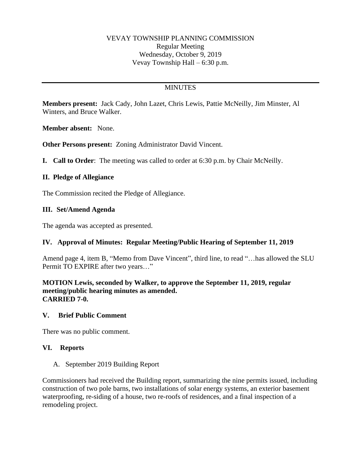### VEVAY TOWNSHIP PLANNING COMMISSION Regular Meeting Wednesday, October 9, 2019 Vevay Township Hall – 6:30 p.m.

# **MINUTES**

**Members present:** Jack Cady, John Lazet, Chris Lewis, Pattie McNeilly, Jim Minster, Al Winters, and Bruce Walker.

**Member absent:** None.

**Other Persons present:** Zoning Administrator David Vincent.

**I. Call to Order**: The meeting was called to order at 6:30 p.m. by Chair McNeilly.

### **II. Pledge of Allegiance**

The Commission recited the Pledge of Allegiance.

### **III. Set/Amend Agenda**

The agenda was accepted as presented.

#### **IV. Approval of Minutes: Regular Meeting/Public Hearing of September 11, 2019**

Amend page 4, item B, "Memo from Dave Vincent", third line, to read "…has allowed the SLU Permit TO EXPIRE after two years…"

#### **MOTION Lewis, seconded by Walker, to approve the September 11, 2019, regular meeting/public hearing minutes as amended. CARRIED 7-0.**

#### **V. Brief Public Comment**

There was no public comment.

#### **VI. Reports**

A. September 2019 Building Report

Commissioners had received the Building report, summarizing the nine permits issued, including construction of two pole barns, two installations of solar energy systems, an exterior basement waterproofing, re-siding of a house, two re-roofs of residences, and a final inspection of a remodeling project.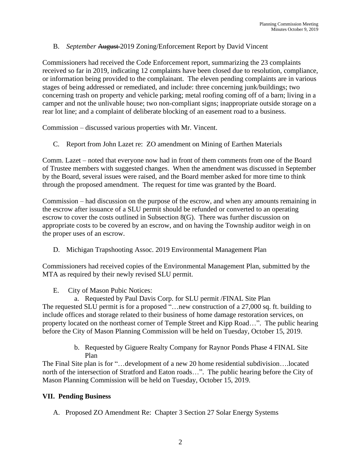## B. *September* August 2019 Zoning/Enforcement Report by David Vincent

Commissioners had received the Code Enforcement report, summarizing the 23 complaints received so far in 2019, indicating 12 complaints have been closed due to resolution, compliance, or information being provided to the complainant. The eleven pending complaints are in various stages of being addressed or remediated, and include: three concerning junk/buildings; two concerning trash on property and vehicle parking; metal roofing coming off of a barn; living in a camper and not the unlivable house; two non-compliant signs; inappropriate outside storage on a rear lot line; and a complaint of deliberate blocking of an easement road to a business.

Commission – discussed various properties with Mr. Vincent.

C. Report from John Lazet re: ZO amendment on Mining of Earthen Materials

Comm. Lazet – noted that everyone now had in front of them comments from one of the Board of Trustee members with suggested changes. When the amendment was discussed in September by the Board, several issues were raised, and the Board member asked for more time to think through the proposed amendment. The request for time was granted by the Board.

Commission – had discussion on the purpose of the escrow, and when any amounts remaining in the escrow after issuance of a SLU permit should be refunded or converted to an operating escrow to cover the costs outlined in Subsection 8(G). There was further discussion on appropriate costs to be covered by an escrow, and on having the Township auditor weigh in on the proper uses of an escrow.

D. Michigan Trapshooting Assoc. 2019 Environmental Management Plan

Commissioners had received copies of the Environmental Management Plan, submitted by the MTA as required by their newly revised SLU permit.

E. City of Mason Pubic Notices:

a. Requested by Paul Davis Corp. for SLU permit /FINAL Site Plan The requested SLU permit is for a proposed "…new construction of a 27,000 sq. ft. building to include offices and storage related to their business of home damage restoration services, on property located on the northeast corner of Temple Street and Kipp Road…". The public hearing before the City of Mason Planning Commission will be held on Tuesday, October 15, 2019.

> b. Requested by Giguere Realty Company for Raynor Ponds Phase 4 FINAL Site Plan

The Final Site plan is for "…development of a new 20 home residential subdivision….located north of the intersection of Stratford and Eaton roads…". The public hearing before the City of Mason Planning Commission will be held on Tuesday, October 15, 2019.

## **VII. Pending Business**

A. Proposed ZO Amendment Re: Chapter 3 Section 27 Solar Energy Systems